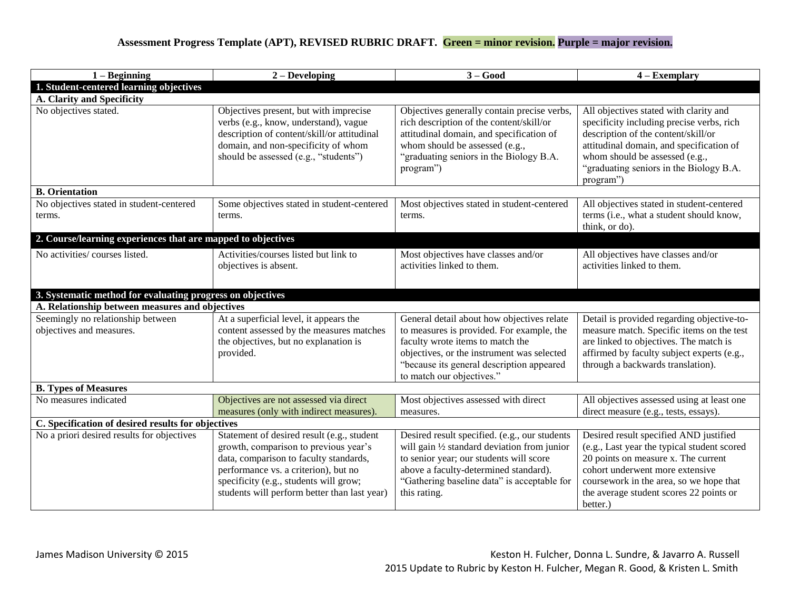## **Assessment Progress Template (APT), REVISED RUBRIC DRAFT. Green = minor revision. Purple = major revision.**

| $1 -$ Beginning                                               | $2 - Developing$<br>$3 - Good$                                                                                                                                                                                                                                  |                                                                                                                                                                                                                                                     | $4 - Exemplary$                                                                                                                                                                                                                                                   |  |  |  |  |  |  |
|---------------------------------------------------------------|-----------------------------------------------------------------------------------------------------------------------------------------------------------------------------------------------------------------------------------------------------------------|-----------------------------------------------------------------------------------------------------------------------------------------------------------------------------------------------------------------------------------------------------|-------------------------------------------------------------------------------------------------------------------------------------------------------------------------------------------------------------------------------------------------------------------|--|--|--|--|--|--|
| 1. Student-centered learning objectives                       |                                                                                                                                                                                                                                                                 |                                                                                                                                                                                                                                                     |                                                                                                                                                                                                                                                                   |  |  |  |  |  |  |
| A. Clarity and Specificity                                    |                                                                                                                                                                                                                                                                 |                                                                                                                                                                                                                                                     |                                                                                                                                                                                                                                                                   |  |  |  |  |  |  |
| No objectives stated.                                         | Objectives present, but with imprecise<br>verbs (e.g., know, understand), vague<br>description of content/skill/or attitudinal<br>domain, and non-specificity of whom<br>should be assessed (e.g., "students")                                                  | Objectives generally contain precise verbs,<br>rich description of the content/skill/or<br>attitudinal domain, and specification of<br>whom should be assessed (e.g.,<br>"graduating seniors in the Biology B.A.<br>program")                       | All objectives stated with clarity and<br>specificity including precise verbs, rich<br>description of the content/skill/or<br>attitudinal domain, and specification of<br>whom should be assessed (e.g.,<br>"graduating seniors in the Biology B.A.<br>program")  |  |  |  |  |  |  |
| <b>B.</b> Orientation                                         |                                                                                                                                                                                                                                                                 |                                                                                                                                                                                                                                                     |                                                                                                                                                                                                                                                                   |  |  |  |  |  |  |
| No objectives stated in student-centered<br>terms.            | Some objectives stated in student-centered<br>terms.                                                                                                                                                                                                            | Most objectives stated in student-centered<br>terms.                                                                                                                                                                                                | All objectives stated in student-centered<br>terms (i.e., what a student should know,<br>think, or do).                                                                                                                                                           |  |  |  |  |  |  |
| 2. Course/learning experiences that are mapped to objectives  |                                                                                                                                                                                                                                                                 |                                                                                                                                                                                                                                                     |                                                                                                                                                                                                                                                                   |  |  |  |  |  |  |
| No activities/courses listed.                                 | Activities/courses listed but link to<br>objectives is absent.                                                                                                                                                                                                  | Most objectives have classes and/or<br>activities linked to them.                                                                                                                                                                                   | All objectives have classes and/or<br>activities linked to them.                                                                                                                                                                                                  |  |  |  |  |  |  |
| 3. Systematic method for evaluating progress on objectives    |                                                                                                                                                                                                                                                                 |                                                                                                                                                                                                                                                     |                                                                                                                                                                                                                                                                   |  |  |  |  |  |  |
| A. Relationship between measures and objectives               |                                                                                                                                                                                                                                                                 |                                                                                                                                                                                                                                                     |                                                                                                                                                                                                                                                                   |  |  |  |  |  |  |
| Seemingly no relationship between<br>objectives and measures. | At a superficial level, it appears the<br>content assessed by the measures matches<br>the objectives, but no explanation is<br>provided.                                                                                                                        | General detail about how objectives relate<br>to measures is provided. For example, the<br>faculty wrote items to match the<br>objectives, or the instrument was selected<br>"because its general description appeared<br>to match our objectives." | Detail is provided regarding objective-to-<br>measure match. Specific items on the test<br>are linked to objectives. The match is<br>affirmed by faculty subject experts (e.g.,<br>through a backwards translation).                                              |  |  |  |  |  |  |
| <b>B. Types of Measures</b>                                   |                                                                                                                                                                                                                                                                 |                                                                                                                                                                                                                                                     |                                                                                                                                                                                                                                                                   |  |  |  |  |  |  |
| No measures indicated                                         | Objectives are not assessed via direct<br>measures (only with indirect measures).                                                                                                                                                                               | Most objectives assessed with direct<br>measures.                                                                                                                                                                                                   | All objectives assessed using at least one<br>direct measure (e.g., tests, essays).                                                                                                                                                                               |  |  |  |  |  |  |
| C. Specification of desired results for objectives            |                                                                                                                                                                                                                                                                 |                                                                                                                                                                                                                                                     |                                                                                                                                                                                                                                                                   |  |  |  |  |  |  |
| No a priori desired results for objectives                    | Statement of desired result (e.g., student<br>growth, comparison to previous year's<br>data, comparison to faculty standards,<br>performance vs. a criterion), but no<br>specificity (e.g., students will grow;<br>students will perform better than last year) | Desired result specified. (e.g., our students<br>will gain 1/2 standard deviation from junior<br>to senior year; our students will score<br>above a faculty-determined standard).<br>"Gathering baseline data" is acceptable for<br>this rating.    | Desired result specified AND justified<br>(e.g., Last year the typical student scored<br>20 points on measure x. The current<br>cohort underwent more extensive<br>coursework in the area, so we hope that<br>the average student scores 22 points or<br>better.) |  |  |  |  |  |  |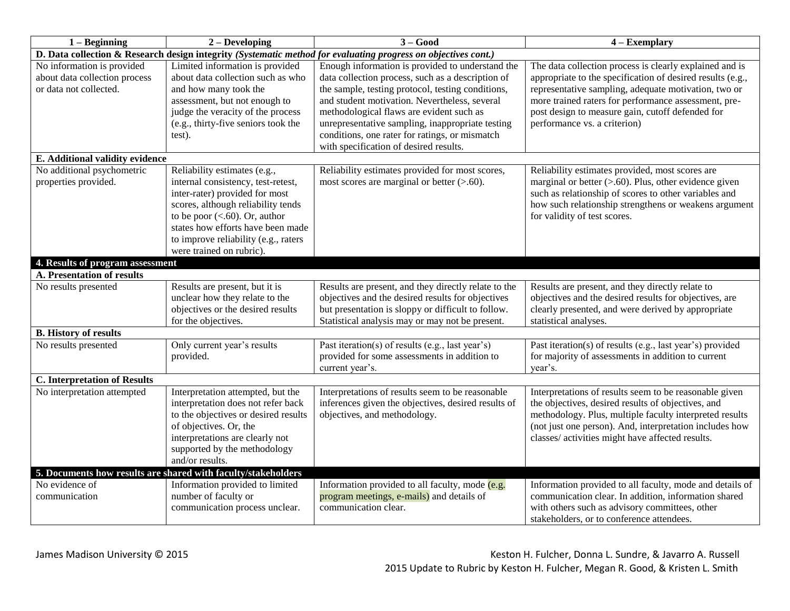| $1 -$ Beginning                                                                                                | $2 - Developing$                                                                                                                                                                                                                                                                        | $3 - Good$                                                                                                                                                                                                                                                                                                                                                                                              | $4 - Exemplary$                                                                                                                                                                                                                                                                                                           |  |  |  |  |
|----------------------------------------------------------------------------------------------------------------|-----------------------------------------------------------------------------------------------------------------------------------------------------------------------------------------------------------------------------------------------------------------------------------------|---------------------------------------------------------------------------------------------------------------------------------------------------------------------------------------------------------------------------------------------------------------------------------------------------------------------------------------------------------------------------------------------------------|---------------------------------------------------------------------------------------------------------------------------------------------------------------------------------------------------------------------------------------------------------------------------------------------------------------------------|--|--|--|--|
| D. Data collection & Research design integrity (Systematic method for evaluating progress on objectives cont.) |                                                                                                                                                                                                                                                                                         |                                                                                                                                                                                                                                                                                                                                                                                                         |                                                                                                                                                                                                                                                                                                                           |  |  |  |  |
| No information is provided<br>about data collection process<br>or data not collected.                          | Limited information is provided<br>about data collection such as who<br>and how many took the<br>assessment, but not enough to<br>judge the veracity of the process<br>(e.g., thirty-five seniors took the<br>test).                                                                    | Enough information is provided to understand the<br>data collection process, such as a description of<br>the sample, testing protocol, testing conditions,<br>and student motivation. Nevertheless, several<br>methodological flaws are evident such as<br>unrepresentative sampling, inappropriate testing<br>conditions, one rater for ratings, or mismatch<br>with specification of desired results. | The data collection process is clearly explained and is<br>appropriate to the specification of desired results (e.g.,<br>representative sampling, adequate motivation, two or<br>more trained raters for performance assessment, pre-<br>post design to measure gain, cutoff defended for<br>performance vs. a criterion) |  |  |  |  |
| E. Additional validity evidence                                                                                |                                                                                                                                                                                                                                                                                         |                                                                                                                                                                                                                                                                                                                                                                                                         |                                                                                                                                                                                                                                                                                                                           |  |  |  |  |
| No additional psychometric<br>properties provided.                                                             | Reliability estimates (e.g.,<br>internal consistency, test-retest,<br>inter-rater) provided for most<br>scores, although reliability tends<br>to be poor $(<.60)$ . Or, author<br>states how efforts have been made<br>to improve reliability (e.g., raters<br>were trained on rubric). | Reliability estimates provided for most scores,<br>most scores are marginal or better $(> 60)$ .                                                                                                                                                                                                                                                                                                        | Reliability estimates provided, most scores are<br>marginal or better $(> 0.60)$ . Plus, other evidence given<br>such as relationship of scores to other variables and<br>how such relationship strengthens or weakens argument<br>for validity of test scores.                                                           |  |  |  |  |
| 4. Results of program assessment                                                                               |                                                                                                                                                                                                                                                                                         |                                                                                                                                                                                                                                                                                                                                                                                                         |                                                                                                                                                                                                                                                                                                                           |  |  |  |  |
| <b>A. Presentation of results</b>                                                                              |                                                                                                                                                                                                                                                                                         |                                                                                                                                                                                                                                                                                                                                                                                                         |                                                                                                                                                                                                                                                                                                                           |  |  |  |  |
| No results presented                                                                                           | Results are present, but it is<br>unclear how they relate to the<br>objectives or the desired results<br>for the objectives.                                                                                                                                                            | Results are present, and they directly relate to the<br>objectives and the desired results for objectives<br>but presentation is sloppy or difficult to follow.<br>Statistical analysis may or may not be present.                                                                                                                                                                                      | Results are present, and they directly relate to<br>objectives and the desired results for objectives, are<br>clearly presented, and were derived by appropriate<br>statistical analyses.                                                                                                                                 |  |  |  |  |
| <b>B.</b> History of results                                                                                   |                                                                                                                                                                                                                                                                                         |                                                                                                                                                                                                                                                                                                                                                                                                         |                                                                                                                                                                                                                                                                                                                           |  |  |  |  |
| No results presented                                                                                           | Only current year's results<br>provided.                                                                                                                                                                                                                                                | Past iteration(s) of results (e.g., last year's)<br>provided for some assessments in addition to<br>current year's.                                                                                                                                                                                                                                                                                     | Past iteration(s) of results (e.g., last year's) provided<br>for majority of assessments in addition to current<br>year's.                                                                                                                                                                                                |  |  |  |  |
| <b>C.</b> Interpretation of Results                                                                            |                                                                                                                                                                                                                                                                                         |                                                                                                                                                                                                                                                                                                                                                                                                         |                                                                                                                                                                                                                                                                                                                           |  |  |  |  |
| No interpretation attempted                                                                                    | Interpretation attempted, but the<br>interpretation does not refer back<br>to the objectives or desired results<br>of objectives. Or, the<br>interpretations are clearly not<br>supported by the methodology<br>and/or results.                                                         | Interpretations of results seem to be reasonable<br>inferences given the objectives, desired results of<br>objectives, and methodology.                                                                                                                                                                                                                                                                 | Interpretations of results seem to be reasonable given<br>the objectives, desired results of objectives, and<br>methodology. Plus, multiple faculty interpreted results<br>(not just one person). And, interpretation includes how<br>classes/ activities might have affected results.                                    |  |  |  |  |
|                                                                                                                | 5. Documents how results are shared with faculty/stakeholders                                                                                                                                                                                                                           |                                                                                                                                                                                                                                                                                                                                                                                                         |                                                                                                                                                                                                                                                                                                                           |  |  |  |  |
| No evidence of<br>communication                                                                                | Information provided to limited<br>number of faculty or<br>communication process unclear.                                                                                                                                                                                               | Information provided to all faculty, mode (e.g.<br>program meetings, e-mails) and details of<br>communication clear.                                                                                                                                                                                                                                                                                    | Information provided to all faculty, mode and details of<br>communication clear. In addition, information shared<br>with others such as advisory committees, other<br>stakeholders, or to conference attendees.                                                                                                           |  |  |  |  |